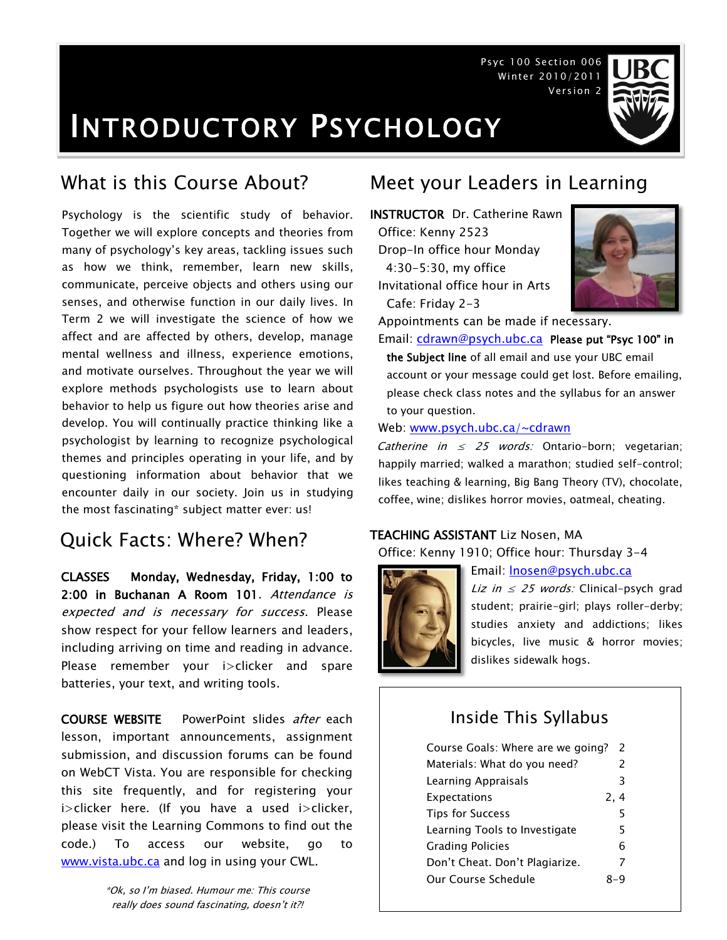Psyc 100 Section 006 Winter 2010/2011 Version 2

## INTRODUCTORY PSYCHOLOGY

Psychology is the scientific study of behavior. Together we will explore concepts and theories from many of psychology's key areas, tackling issues such as how we think, remember, learn new skills, communicate, perceive objects and others using our senses, and otherwise function in our daily lives. In Term 2 we will investigate the science of how we affect and are affected by others, develop, manage mental wellness and illness, experience emotions, and motivate ourselves. Throughout the year we will explore methods psychologists use to learn about behavior to help us figure out how theories arise and develop. You will continually practice thinking like a psychologist by learning to recognize psychological themes and principles operating in your life, and by questioning information about behavior that we encounter daily in our society. Join us in studying the most fascinating\* subject matter ever: us!

## Quick Facts: Where? When?

CLASSES Monday, Wednesday, Friday, 1:00 to 2:00 in Buchanan A Room 101. Attendance is expected and is necessary for success. Please show respect for your fellow learners and leaders, including arriving on time and reading in advance. Please remember your i>clicker and spare batteries, your text, and writing tools.

COURSE WEBSITE PowerPoint slides after each lesson, important announcements, assignment submission, and discussion forums can be found on WebCT Vista. You are responsible for checking this site frequently, and for registering your i>clicker here. (If you have a used i>clicker, please visit the Learning Commons to find out the code.) To access our website, go to [www.vista.ubc.ca](http://www.vista.ubc.ca/) and log in using your CWL.

> \*Ok, so I'm biased. Humour me: This course really does sound fascinating, doesn't it?!

## What is this Course About? Meet your Leaders in Learning

INSTRUCTOR Dr. Catherine Rawn Office: Kenny 2523 Drop-In office hour Monday 4:30-5:30, my office Invitational office hour in Arts Cafe: Friday 2-3



Appointments can be made if necessary.

Email: [cdrawn@psych.ubc.ca](mailto:cdrawn@psych.ubc.ca) Please put "Psyc 100" in the Subject line of all email and use your UBC email account or your message could get lost. Before emailing, please check class notes and the syllabus for an answer to your question.

Web: [www.psych.ubc.ca/~cdrawn](http://www.psych.ubc.ca/~cdrawn)

Catherine in  $\leq$  25 words: Ontario-born; vegetarian; happily married; walked a marathon; studied self-control; likes teaching & learning, Big Bang Theory (TV), chocolate, coffee, wine; dislikes horror movies, oatmeal, cheating.

### TEACHING ASSISTANT Liz Nosen, MA

Office: Kenny 1910; Office hour: Thursday 3-4



Email: [lnosen@psych.ubc.ca](mailto:lnosen@psych.ubc.ca)

Liz in  $\leq$  25 words: Clinical-psych grad student; prairie-girl; plays roller-derby; studies anxiety and addictions; likes bicycles, live music & horror movies; dislikes sidewalk hogs.

## Inside This Syllabus

| Course Goals: Where are we going? | $\mathcal{P}$ |
|-----------------------------------|---------------|
| Materials: What do you need?      | $\mathcal{P}$ |
| Learning Appraisals               | 3             |
| <b>Expectations</b>               | 2, 4          |
| <b>Tips for Success</b>           | 5             |
| Learning Tools to Investigate     | 5             |
| <b>Grading Policies</b>           | 6             |
| Don't Cheat. Don't Plagiarize.    | 7             |
| Our Course Schedule               |               |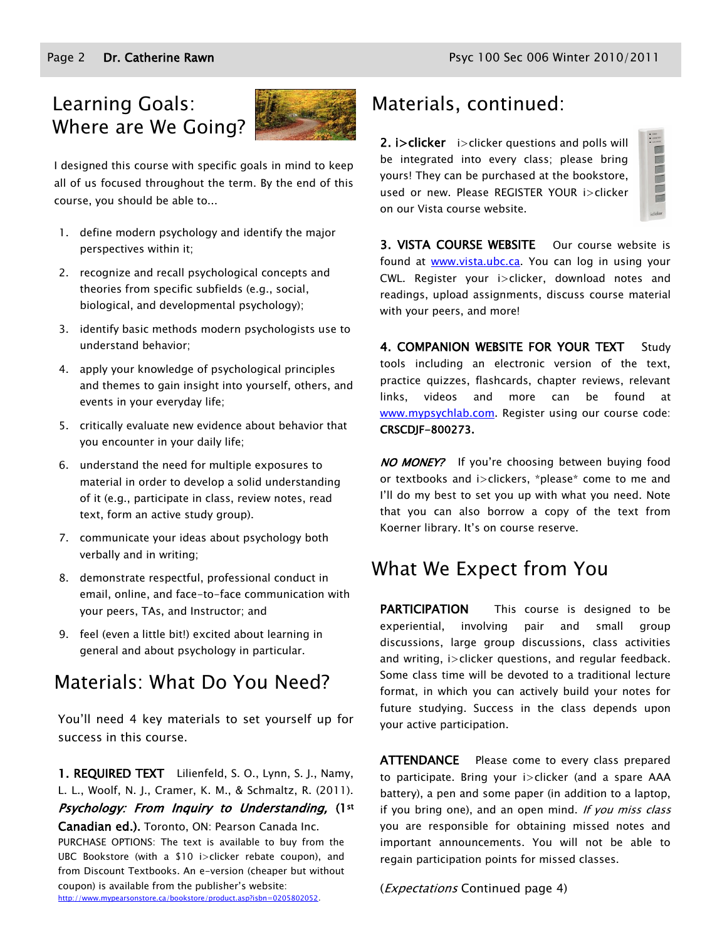## Learning Goals: Where are We Going?



I designed this course with specific goals in mind to keep all of us focused throughout the term. By the end of this course, you should be able to...

- 1. define modern psychology and identify the major perspectives within it;
- 2. recognize and recall psychological concepts and theories from specific subfields (e.g., social, biological, and developmental psychology);
- 3. identify basic methods modern psychologists use to understand behavior;
- 4. apply your knowledge of psychological principles and themes to gain insight into yourself, others, and events in your everyday life;
- 5. critically evaluate new evidence about behavior that you encounter in your daily life;
- 6. understand the need for multiple exposures to material in order to develop a solid understanding of it (e.g., participate in class, review notes, read text, form an active study group).
- 7. communicate your ideas about psychology both verbally and in writing;
- 8. demonstrate respectful, professional conduct in email, online, and face-to-face communication with your peers, TAs, and Instructor; and
- 9. feel (even a little bit!) excited about learning in general and about psychology in particular.

## Materials: What Do You Need?

You'll need 4 key materials to set yourself up for success in this course.

1. REQUIRED TEXT Lilienfeld, S. O., Lynn, S. J., Namy, L. L., Woolf, N. J., Cramer, K. M., & Schmaltz, R. (2011). Psychology: From Inquiry to Understanding, (1st Canadian ed.). Toronto, ON: Pearson Canada Inc. PURCHASE OPTIONS: The text is available to buy from the UBC Bookstore (with a \$10 i>clicker rebate coupon), and from Discount Textbooks. An e-version (cheaper but without coupon) is available from the publisher's website: [http://www.mypearsonstore.ca/bookstore/product.asp?isbn=0205802052.](http://www.mypearsonstore.ca/bookstore/product.asp?isbn=0205802052)

## Materials, continued:

2. **i**>clicker i>clicker questions and polls will be integrated into every class; please bring yours! They can be purchased at the bookstore, used or new. Please REGISTER YOUR i>clicker on our Vista course website.

3. VISTA COURSE WEBSITE Our course website is found at **www.vista.ubc.ca**. You can log in using your CWL. Register your i>clicker, download notes and readings, upload assignments, discuss course material with your peers, and more!

4. COMPANION WEBSITE FOR YOUR TEXT Study tools including an electronic version of the text, practice quizzes, flashcards, chapter reviews, relevant links, videos and more can be found at [www.mypsychlab.com.](http://www.mypsychlab.com/) Register using our course code: CRSCDJF-800273.

NO MONEY? If you're choosing between buying food or textbooks and i>clickers, \*please\* come to me and I'll do my best to set you up with what you need. Note that you can also borrow a copy of the text from Koerner library. It's on course reserve.

## What We Expect from You

**PARTICIPATION** This course is designed to be experiential, involving pair and small group discussions, large group discussions, class activities and writing, i>clicker questions, and regular feedback. Some class time will be devoted to a traditional lecture format, in which you can actively build your notes for future studying. Success in the class depends upon your active participation.

**ATTENDANCE** Please come to every class prepared to participate. Bring your i>clicker (and a spare AAA battery), a pen and some paper (in addition to a laptop, if you bring one), and an open mind. If you miss class you are responsible for obtaining missed notes and important announcements. You will not be able to regain participation points for missed classes.

(Expectations Continued page 4)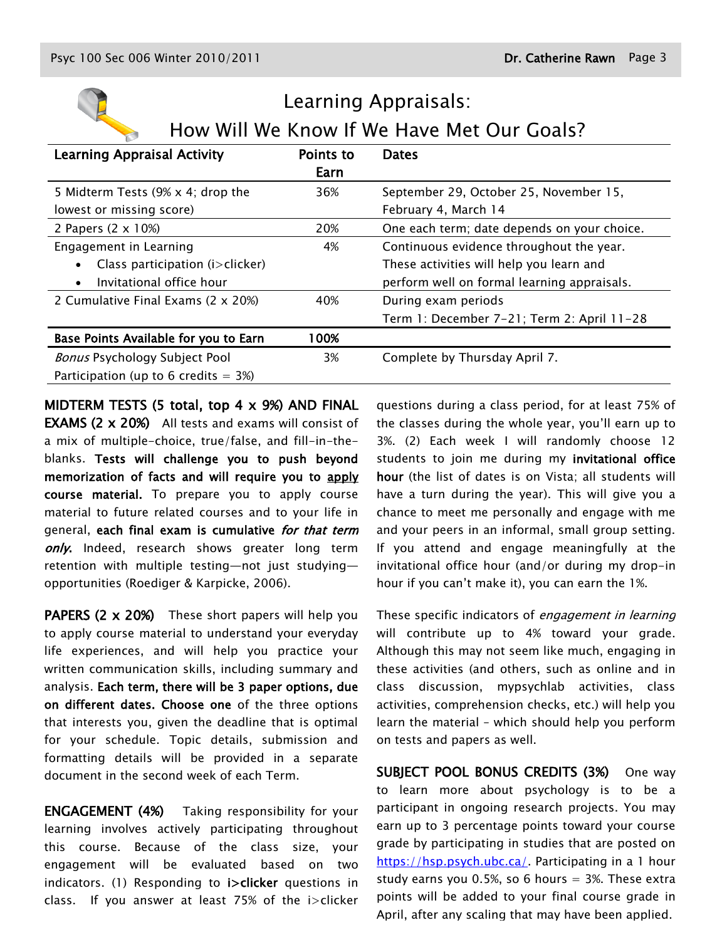| Learning Appraisals:                         |           |                                             |  |  |
|----------------------------------------------|-----------|---------------------------------------------|--|--|
| How Will We Know If We Have Met Our Goals?   |           |                                             |  |  |
| <b>Learning Appraisal Activity</b>           | Points to | <b>Dates</b>                                |  |  |
|                                              | Earn      |                                             |  |  |
| 5 Midterm Tests (9% x 4; drop the            | 36%       | September 29, October 25, November 15,      |  |  |
| lowest or missing score)                     |           | February 4, March 14                        |  |  |
| 2 Papers (2 x 10%)                           | 20%       | One each term; date depends on your choice. |  |  |
| Engagement in Learning                       | 4%        | Continuous evidence throughout the year.    |  |  |
| Class participation (i>clicker)<br>$\bullet$ |           | These activities will help you learn and    |  |  |
| Invitational office hour                     |           | perform well on formal learning appraisals. |  |  |
| 2 Cumulative Final Exams (2 x 20%)           | 40%       | During exam periods                         |  |  |
|                                              |           | Term 1: December 7-21; Term 2: April 11-28  |  |  |
| Base Points Available for you to Earn        | 100%      |                                             |  |  |
| <b>Bonus Psychology Subject Pool</b>         | 3%        | Complete by Thursday April 7.               |  |  |
| Participation (up to 6 credits $=$ 3%)       |           |                                             |  |  |

MIDTERM TESTS (5 total, top 4 x 9%) AND FINAL EXAMS (2 x 20%) All tests and exams will consist of a mix of multiple-choice, true/false, and fill-in-theblanks. Tests will challenge you to push beyond memorization of facts and will require you to apply course material. To prepare you to apply course material to future related courses and to your life in general, each final exam is cumulative for that term only. Indeed, research shows greater long term retention with multiple testing—not just studying opportunities (Roediger & Karpicke, 2006).

PAPERS (2 x 20%) These short papers will help you to apply course material to understand your everyday life experiences, and will help you practice your written communication skills, including summary and analysis. Each term, there will be 3 paper options, due on different dates. Choose one of the three options that interests you, given the deadline that is optimal for your schedule. Topic details, submission and formatting details will be provided in a separate document in the second week of each Term.

ENGAGEMENT (4%) Taking responsibility for your learning involves actively participating throughout this course. Because of the class size, your engagement will be evaluated based on two indicators. (1) Responding to **i**>clicker questions in class. If you answer at least 75% of the i>clicker questions during a class period, for at least 75% of the classes during the whole year, you'll earn up to 3%. (2) Each week I will randomly choose 12 students to join me during my invitational office hour (the list of dates is on Vista; all students will have a turn during the year). This will give you a chance to meet me personally and engage with me and your peers in an informal, small group setting. If you attend and engage meaningfully at the invitational office hour (and/or during my drop-in hour if you can't make it), you can earn the 1%.

These specific indicators of engagement in learning will contribute up to 4% toward your grade. Although this may not seem like much, engaging in these activities (and others, such as online and in class discussion, mypsychlab activities, class activities, comprehension checks, etc.) will help you learn the material – which should help you perform on tests and papers as well.

SUBJECT POOL BONUS CREDITS (3%) One way to learn more about psychology is to be a participant in ongoing research projects. You may earn up to 3 percentage points toward your course grade by participating in studies that are posted on [https://hsp.psych.ubc.ca/.](https://hsp.psych.ubc.ca/) Participating in a 1 hour study earns you 0.5%, so 6 hours  $=$  3%. These extra points will be added to your final course grade in April, after any scaling that may have been applied.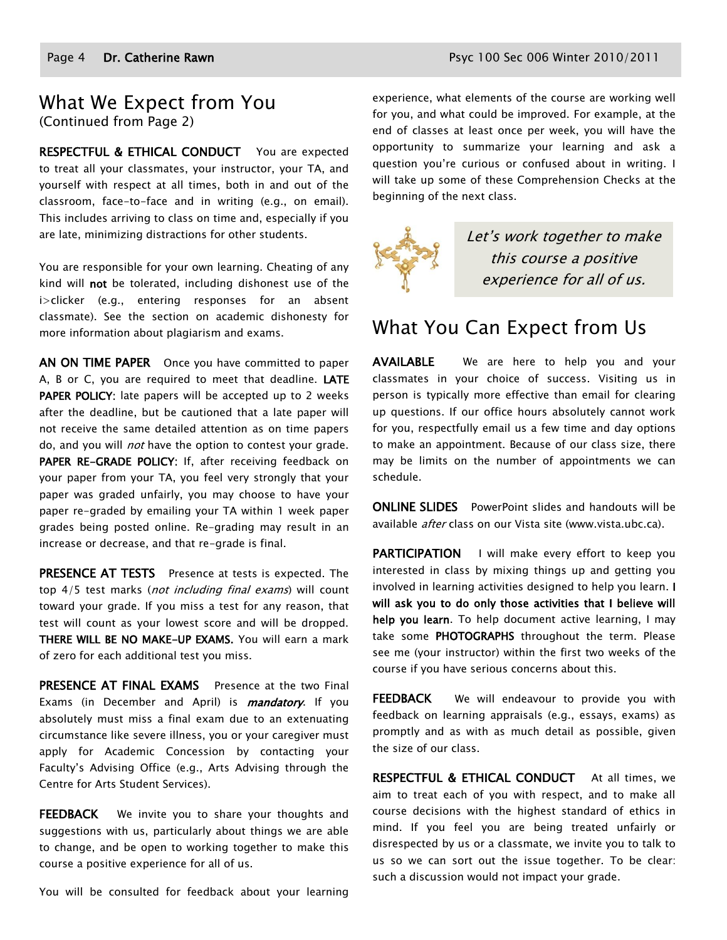### What We Expect from You (Continued from Page 2)

RESPECTFUL & ETHICAL CONDUCT You are expected to treat all your classmates, your instructor, your TA, and yourself with respect at all times, both in and out of the classroom, face-to-face and in writing (e.g., on email). This includes arriving to class on time and, especially if you are late, minimizing distractions for other students.

You are responsible for your own learning. Cheating of any kind will not be tolerated, including dishonest use of the i>clicker (e.g., entering responses for an absent classmate). See the section on academic dishonesty for more information about plagiarism and exams.

AN ON TIME PAPER Once you have committed to paper A, B or C, you are required to meet that deadline. LATE PAPER POLICY: late papers will be accepted up to 2 weeks after the deadline, but be cautioned that a late paper will not receive the same detailed attention as on time papers do, and you will *not* have the option to contest your grade. PAPER RE-GRADE POLICY: If, after receiving feedback on your paper from your TA, you feel very strongly that your paper was graded unfairly, you may choose to have your paper re-graded by emailing your TA within 1 week paper grades being posted online. Re-grading may result in an increase or decrease, and that re-grade is final.

PRESENCE AT TESTS Presence at tests is expected. The top 4/5 test marks (not including final exams) will count toward your grade. If you miss a test for any reason, that test will count as your lowest score and will be dropped. THERE WILL BE NO MAKE-UP EXAMS. You will earn a mark of zero for each additional test you miss.

PRESENCE AT FINAL EXAMS Presence at the two Final Exams (in December and April) is *mandatory*. If you absolutely must miss a final exam due to an extenuating circumstance like severe illness, you or your caregiver must apply for Academic Concession by contacting your Faculty's Advising Office (e.g., Arts Advising through the Centre for Arts Student Services).

**FEEDBACK** We invite you to share your thoughts and suggestions with us, particularly about things we are able to change, and be open to working together to make this course a positive experience for all of us.

You will be consulted for feedback about your learning

experience, what elements of the course are working well for you, and what could be improved. For example, at the end of classes at least once per week, you will have the opportunity to summarize your learning and ask a question you're curious or confused about in writing. I will take up some of these Comprehension Checks at the beginning of the next class.



Let's work together to make this course a positive experience for all of us.

## What You Can Expect from Us

AVAILABLE We are here to help you and your classmates in your choice of success. Visiting us in person is typically more effective than email for clearing up questions. If our office hours absolutely cannot work for you, respectfully email us a few time and day options to make an appointment. Because of our class size, there may be limits on the number of appointments we can schedule.

**ONLINE SLIDES** PowerPoint slides and handouts will be available *after* class on our Vista site (www.vista.ubc.ca).

PARTICIPATION I will make every effort to keep you interested in class by mixing things up and getting you involved in learning activities designed to help you learn. I will ask you to do only those activities that I believe will help you learn. To help document active learning, I may take some PHOTOGRAPHS throughout the term. Please see me (your instructor) within the first two weeks of the course if you have serious concerns about this.

**FEEDBACK** We will endeavour to provide you with feedback on learning appraisals (e.g., essays, exams) as promptly and as with as much detail as possible, given the size of our class.

RESPECTFUL & ETHICAL CONDUCT At all times, we aim to treat each of you with respect, and to make all course decisions with the highest standard of ethics in mind. If you feel you are being treated unfairly or disrespected by us or a classmate, we invite you to talk to us so we can sort out the issue together. To be clear: such a discussion would not impact your grade.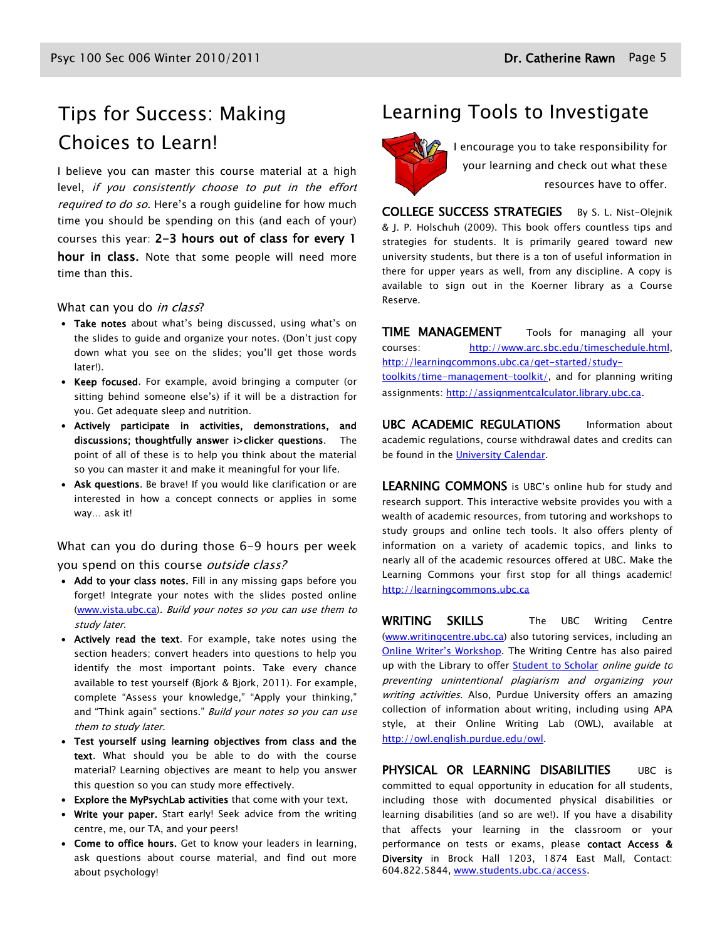# Choices to Learn!

I believe you can master this course material at a high level, if you consistently choose to put in the effort required to do so. Here's a rough guideline for how much time you should be spending on this (and each of your) courses this year: 2-3 hours out of class for every 1 hour in class. Note that some people will need more time than this.

#### What can you do in class?

- Take notes about what's being discussed, using what's on the slides to guide and organize your notes. (Don't just copy down what you see on the slides; you'll get those words later!).
- Keep focused. For example, avoid bringing a computer (or sitting behind someone else's) if it will be a distraction for you. Get adequate sleep and nutrition.
- Actively participate in activities, demonstrations, and discussions; thoughtfully answer i>clicker questions. The point of all of these is to help you think about the material so you can master it and make it meaningful for your life.
- Ask questions. Be brave! If you would like clarification or are interested in how a concept connects or applies in some way… ask it!

What can you do during those 6-9 hours per week you spend on this course *outside class?* 

- Add to your class notes. Fill in any missing gaps before you forget! Integrate your notes with the slides posted online [\(www.vista.ubc.ca\)](http://www.vista.ubc.ca/). Build your notes so you can use them to study later.
- Actively read the text. For example, take notes using the section headers; convert headers into questions to help you identify the most important points. Take every chance available to test yourself (Bjork & Bjork, 2011). For example, complete "Assess your knowledge," "Apply your thinking," and "Think again" sections." Build your notes so you can use them to study later.
- Test yourself using learning objectives from class and the text. What should you be able to do with the course material? Learning objectives are meant to help you answer this question so you can study more effectively.
- Explore the MyPsychLab activities that come with your text.
- Write your paper. Start early! Seek advice from the writing centre, me, our TA, and your peers!
- Come to office hours. Get to know your leaders in learning, ask questions about course material, and find out more about psychology!

## Tips for Success: Making Learning Tools to Investigate



 $\sqrt{2}$  I encourage you to take responsibility for your learning and check out what these resources have to offer.

COLLEGE SUCCESS STRATEGIES By S. L. Nist-Olejnik & J. P. Holschuh (2009). This book offers countless tips and strategies for students. It is primarily geared toward new university students, but there is a ton of useful information in there for upper years as well, from any discipline. A copy is available to sign out in the Koerner library as a Course Reserve.

**TIME MANAGEMENT** Tools for managing all your courses: [http://www.arc.sbc.edu/timeschedule.html,](http://www.arc.sbc.edu/timeschedule.html) [http://learningcommons.ubc.ca/get-started/study](http://learningcommons.ubc.ca/get-started/study-toolkits/time-management-toolkit/)[toolkits/time-management-toolkit/,](http://learningcommons.ubc.ca/get-started/study-toolkits/time-management-toolkit/) and for planning writing assignments[: http://assignmentcalculator.library.ubc.ca](http://assignmentcalculator.library.ubc.ca/).

UBC ACADEMIC REGULATIONS Information about academic regulations, course withdrawal dates and credits can be found in the [University Calendar.](http://students.ubc.ca/calendar/academicyear.cfm)

LEARNING COMMONS is UBC's online hub for study and research support. This interactive website provides you with a wealth of academic resources, from tutoring and workshops to study groups and online tech tools. It also offers plenty of information on a variety of academic topics, and links to nearly all of the academic resources offered at UBC. Make the Learning Commons your first stop for all things academic! [http://learningcommons.ubc.ca](http://learningcommons.ubc.ca/)

WRITING SKILLS The UBC Writing Centre [\(www.writingcentre.ubc.ca\)](http://www.writingcentre.ubc.ca/) also tutoring services, including an [Online Writer's Workshop](http://www.writingcentre.ubc.ca/workshop/index.html). The Writing Centre has also paired up with the Library to offer **Student to Scholar** online guide to preventing unintentional plagiarism and organizing your writing activities. Also, Purdue University offers an amazing collection of information about writing, including using APA style, at their Online Writing Lab (OWL), available at [http://owl.english.purdue.edu/owl.](http://owl.english.purdue.edu/owl/)

PHYSICAL OR LEARNING DISABILITIES UBC is committed to equal opportunity in education for all students, including those with documented physical disabilities or learning disabilities (and so are we!). If you have a disability that affects your learning in the classroom or your performance on tests or exams, please contact Access & Diversity in Brock Hall 1203, 1874 East Mall, Contact: 604.822.5844, [www.students.ubc.ca/access.](http://www.students.ubc.ca/access)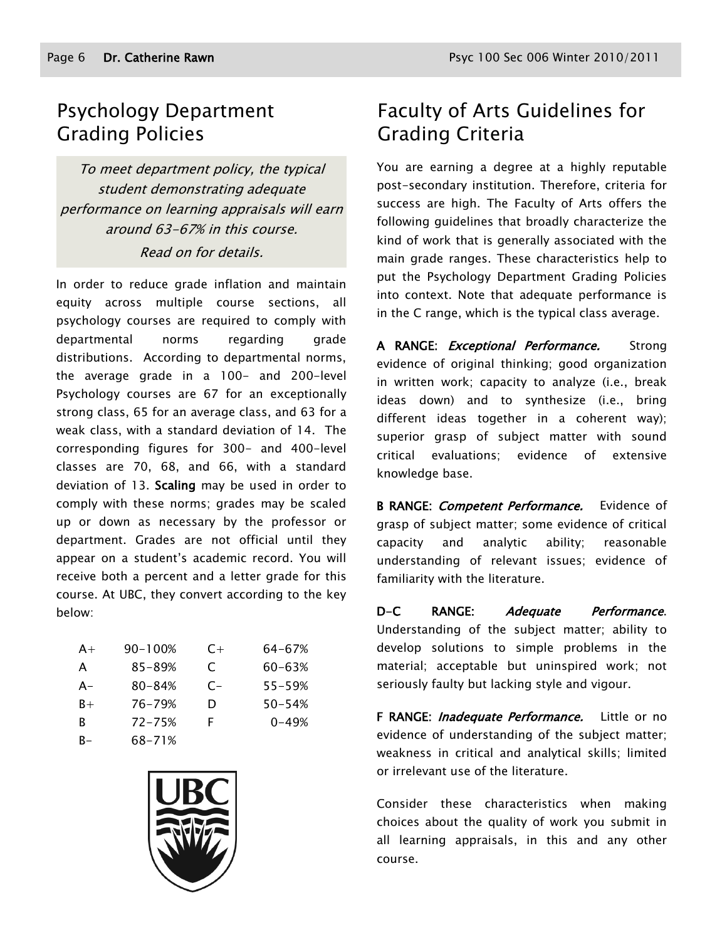## Psychology Department Grading Policies

To meet department policy, the typical student demonstrating adequate performance on learning appraisals will earn around 63-67% in this course. Read on for details.

In order to reduce grade inflation and maintain equity across multiple course sections, all psychology courses are required to comply with departmental norms regarding grade distributions. According to departmental norms, the average grade in a 100- and 200-level Psychology courses are 67 for an exceptionally strong class, 65 for an average class, and 63 for a weak class, with a standard deviation of 14. The corresponding figures for 300- and 400-level classes are 70, 68, and 66, with a standard deviation of 13. Scaling may be used in order to comply with these norms; grades may be scaled up or down as necessary by the professor or department. Grades are not official until they appear on a student's academic record. You will receive both a percent and a letter grade for this course. At UBC, they convert according to the key below:

| $A+$  | 90-100%    | $C+$  | 64-67%     |
|-------|------------|-------|------------|
| A     | $85 - 89%$ | C     | $60 - 63%$ |
| $A -$ | $80 - 84%$ | $C -$ | 55-59%     |
| $B+$  | 76-79%     | D     | 50-54%     |
| R     | $72 - 75%$ | F     | $0 - 49%$  |
| B-    | 68-71%     |       |            |



## Faculty of Arts Guidelines for Grading Criteria

You are earning a degree at a highly reputable post-secondary institution. Therefore, criteria for success are high. The Faculty of Arts offers the following guidelines that broadly characterize the kind of work that is generally associated with the main grade ranges. These characteristics help to put the Psychology Department Grading Policies into context. Note that adequate performance is in the C range, which is the typical class average.

A RANGE: *Exceptional Performance.* Strong evidence of original thinking; good organization in written work; capacity to analyze (i.e., break ideas down) and to synthesize (i.e., bring different ideas together in a coherent way); superior grasp of subject matter with sound critical evaluations; evidence of extensive knowledge base.

B RANGE: *Competent Performance*. Evidence of grasp of subject matter; some evidence of critical capacity and analytic ability; reasonable understanding of relevant issues; evidence of familiarity with the literature.

D-C RANGE: Adequate Performance. Understanding of the subject matter; ability to develop solutions to simple problems in the material; acceptable but uninspired work; not seriously faulty but lacking style and vigour.

F RANGE: *Inadequate Performance*. Little or no evidence of understanding of the subject matter; weakness in critical and analytical skills; limited or irrelevant use of the literature.

Consider these characteristics when making choices about the quality of work you submit in all learning appraisals, in this and any other course.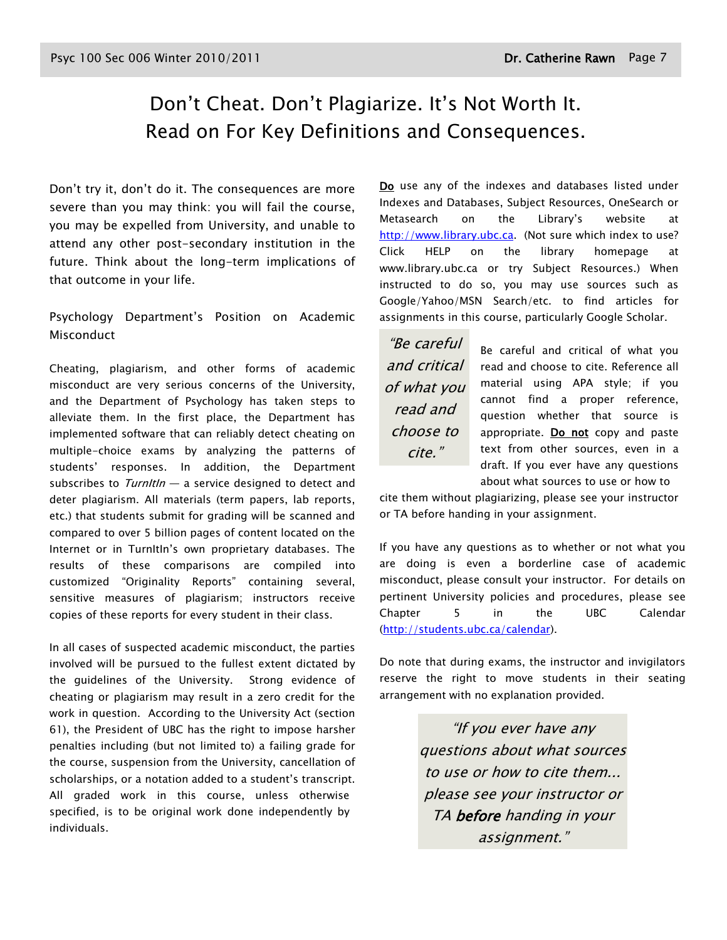## Don't Cheat. Don't Plagiarize. It's Not Worth It. Read on For Key Definitions and Consequences.

Don't try it, don't do it. The consequences are more severe than you may think: you will fail the course, you may be expelled from University, and unable to attend any other post-secondary institution in the future. Think about the long-term implications of that outcome in your life.

Psychology Department's Position on Academic Misconduct

Cheating, plagiarism, and other forms of academic misconduct are very serious concerns of the University, and the Department of Psychology has taken steps to alleviate them. In the first place, the Department has implemented software that can reliably detect cheating on multiple-choice exams by analyzing the patterns of students' responses. In addition, the Department subscribes to  $Turnltln - a$  service designed to detect and deter plagiarism. All materials (term papers, lab reports, etc.) that students submit for grading will be scanned and compared to over 5 billion pages of content located on the Internet or in TurnItIn's own proprietary databases. The results of these comparisons are compiled into customized "Originality Reports" containing several, sensitive measures of plagiarism; instructors receive copies of these reports for every student in their class.

In all cases of suspected academic misconduct, the parties involved will be pursued to the fullest extent dictated by the guidelines of the University. Strong evidence of cheating or plagiarism may result in a zero credit for the work in question. According to the University Act (section 61), the President of UBC has the right to impose harsher penalties including (but not limited to) a failing grade for the course, suspension from the University, cancellation of scholarships, or a notation added to a student's transcript. All graded work in this course, unless otherwise specified, is to be original work done independently by individuals.

Do use any of the indexes and databases listed under Indexes and Databases, Subject Resources, OneSearch or Metasearch on the Library's website at [http://www.library.ubc.ca.](http://www.library.ubc.ca/) (Not sure which index to use? Click HELP on the library homepage at www.library.ubc.ca or try Subject Resources.) When instructed to do so, you may use sources such as Google/Yahoo/MSN Search/etc. to find articles for assignments in this course, particularly Google Scholar.

―Be careful and critical of what you read and choose to cite."

Be careful and critical of what you read and choose to cite. Reference all material using APA style; if you cannot find a proper reference, question whether that source is appropriate. Do not copy and paste text from other sources, even in a draft. If you ever have any questions about what sources to use or how to

cite them without plagiarizing, please see your instructor or TA before handing in your assignment.

If you have any questions as to whether or not what you are doing is even a borderline case of academic misconduct, please consult your instructor. For details on pertinent University policies and procedures, please see Chapter 5 in the UBC Calendar [\(http://students.ubc.ca/calendar\)](http://students.ubc.ca/calendar).

Do note that during exams, the instructor and invigilators reserve the right to move students in their seating arrangement with no explanation provided.

> "If you ever have any questions about what sources to use or how to cite them... please see your instructor or TA before handing in your assignment.‖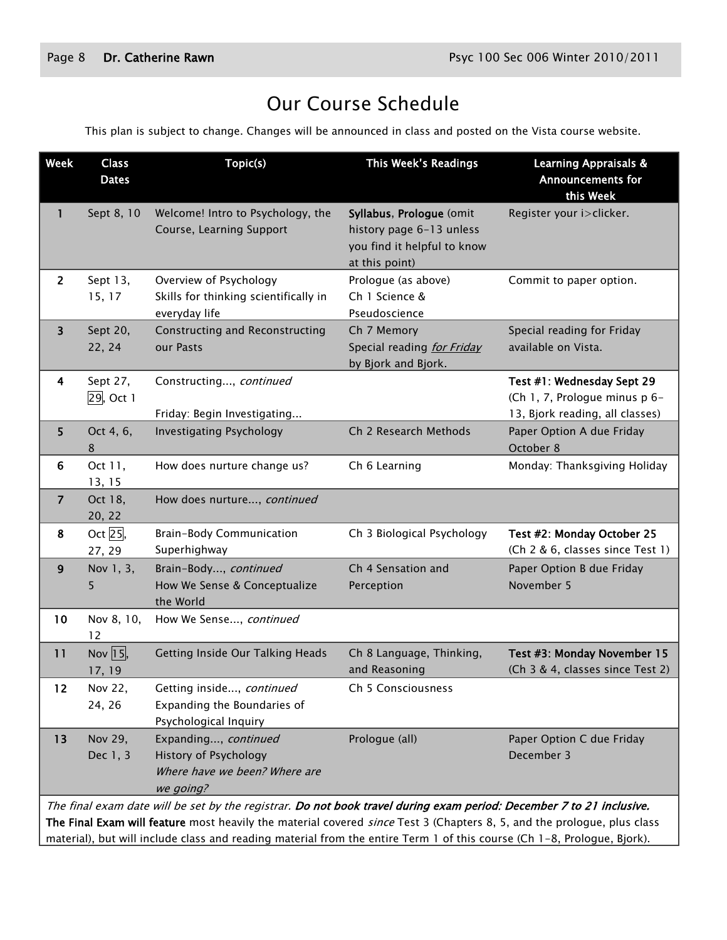## Our Course Schedule

This plan is subject to change. Changes will be announced in class and posted on the Vista course website.

| <b>Week</b>                                                                                                                                                                                                                                     | <b>Class</b><br><b>Dates</b>    | Topic(s)                                                                                    | This Week's Readings                                                                                  | <b>Learning Appraisals &amp;</b><br><b>Announcements for</b><br>this Week                      |
|-------------------------------------------------------------------------------------------------------------------------------------------------------------------------------------------------------------------------------------------------|---------------------------------|---------------------------------------------------------------------------------------------|-------------------------------------------------------------------------------------------------------|------------------------------------------------------------------------------------------------|
| 1                                                                                                                                                                                                                                               | Sept 8, 10                      | Welcome! Intro to Psychology, the<br>Course, Learning Support                               | Syllabus, Prologue (omit<br>history page 6-13 unless<br>you find it helpful to know<br>at this point) | Register your i>clicker.                                                                       |
| $\overline{2}$                                                                                                                                                                                                                                  | Sept 13,<br>15, 17              | Overview of Psychology<br>Skills for thinking scientifically in<br>everyday life            | Prologue (as above)<br>Ch 1 Science &<br>Pseudoscience                                                | Commit to paper option.                                                                        |
| 3                                                                                                                                                                                                                                               | Sept 20,<br>22, 24              | <b>Constructing and Reconstructing</b><br>our Pasts                                         | Ch 7 Memory<br>Special reading for Friday<br>by Bjork and Bjork.                                      | Special reading for Friday<br>available on Vista.                                              |
| 4                                                                                                                                                                                                                                               | Sept 27,<br>29, Oct 1           | Constructing, continued<br>Friday: Begin Investigating                                      |                                                                                                       | Test #1: Wednesday Sept 29<br>(Ch 1, 7, Prologue minus p 6-<br>13, Bjork reading, all classes) |
| 5                                                                                                                                                                                                                                               | Oct 4, 6,<br>8                  | <b>Investigating Psychology</b>                                                             | Ch 2 Research Methods                                                                                 | Paper Option A due Friday<br>October 8                                                         |
| 6                                                                                                                                                                                                                                               | Oct 11,<br>13, 15               | How does nurture change us?                                                                 | Ch 6 Learning                                                                                         | Monday: Thanksgiving Holiday                                                                   |
| $\overline{7}$                                                                                                                                                                                                                                  | Oct 18,<br>20, 22               | How does nurture, continued                                                                 |                                                                                                       |                                                                                                |
| 8                                                                                                                                                                                                                                               | Oct 25,<br>27, 29               | Brain-Body Communication<br>Superhighway                                                    | Ch 3 Biological Psychology                                                                            | Test #2: Monday October 25<br>(Ch 2 & 6, classes since Test 1)                                 |
| 9                                                                                                                                                                                                                                               | Nov 1, 3,<br>5                  | Brain-Body, continued<br>How We Sense & Conceptualize<br>the World                          | Ch 4 Sensation and<br>Perception                                                                      | Paper Option B due Friday<br>November 5                                                        |
| 10                                                                                                                                                                                                                                              | Nov 8, 10,<br>12                | How We Sense, continued                                                                     |                                                                                                       |                                                                                                |
| 11                                                                                                                                                                                                                                              | Nov $\overline{15}$ ,<br>17, 19 | Getting Inside Our Talking Heads                                                            | Ch 8 Language, Thinking,<br>and Reasoning                                                             | Test #3: Monday November 15<br>(Ch 3 & 4, classes since Test 2)                                |
| 12                                                                                                                                                                                                                                              | Nov 22,<br>24, 26               | Getting inside, continued<br>Expanding the Boundaries of<br>Psychological Inquiry           | Ch 5 Consciousness                                                                                    |                                                                                                |
| 13                                                                                                                                                                                                                                              | Nov 29,<br>Dec 1, 3             | Expanding, continued<br>History of Psychology<br>Where have we been? Where are<br>we going? | Prologue (all)                                                                                        | Paper Option C due Friday<br>December 3                                                        |
| The final exam date will be set by the registrar. Do not book travel during exam period: December 7 to 21 inclusive.<br>The Final Exam will feature most heavily the material covered since Test 3 (Chapters 8, 5, and the prologue, plus class |                                 |                                                                                             |                                                                                                       |                                                                                                |

material), but will include class and reading material from the entire Term 1 of this course (Ch 1-8, Prologue, Bjork).